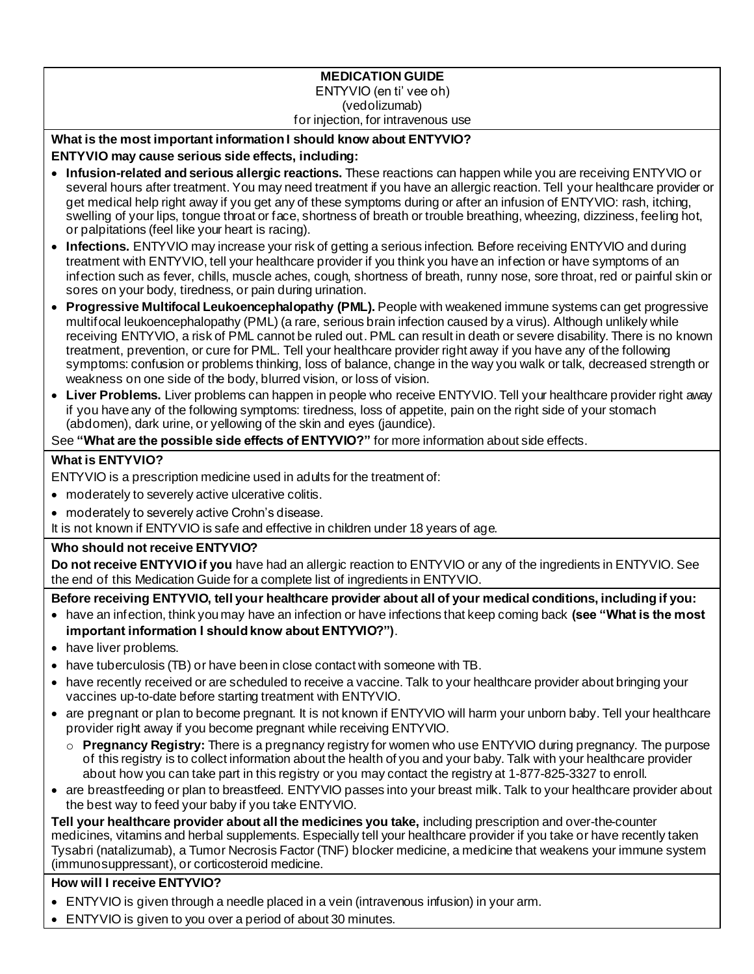#### **MEDICATION GUIDE** ENTYVIO (en ti' vee oh) (vedolizumab) for injection, for intravenous use

# **What is the most important information I should know about ENTYVIO?**

## **ENTYVIO may cause serious side effects, including:**

- **Infusion-related and serious allergic reactions.** These reactions can happen while you are receiving ENTYVIO or several hours after treatment. You may need treatment if you have an allergic reaction. Tell your healthcare provider or get medical help right away if you get any of these symptoms during or after an infusion of ENTYVIO: rash, itching, swelling of your lips, tongue throat or face, shortness of breath or trouble breathing, wheezing, dizziness, feeling hot, or palpitations (feel like your heart is racing).
- **Infections.** ENTYVIO may increase your risk of getting a serious infection. Before receiving ENTYVIO and during treatment with ENTYVIO, tell your healthcare provider if you think you have an infection or have symptoms of an infection such as fever, chills, muscle aches, cough, shortness of breath, runny nose, sore throat, red or painful skin or sores on your body, tiredness, or pain during urination.
- **Progressive Multifocal Leukoencephalopathy (PML).** People with weakened immune systems can get progressive multifocal leukoencephalopathy (PML) (a rare, serious brain infection caused by a virus). Although unlikely while receiving ENTYVIO, a risk of PML cannot be ruled out. PML can result in death or severe disability. There is no known treatment, prevention, or cure for PML. Tell your healthcare provider right away if you have any of the following symptoms: confusion or problems thinking, loss of balance, change in the way you walk or talk, decreased strength or weakness on one side of the body, blurred vision, or loss of vision.
- **Liver Problems.** Liver problems can happen in people who receive ENTYVIO. Tell your healthcare provider right away if you have any of the following symptoms: tiredness, loss of appetite, pain on the right side of your stomach (abdomen), dark urine, or yellowing of the skin and eyes (jaundice).

See **"What are the possible side effects of ENTYVIO?"** for more information about side effects.

## **What is ENTYVIO?**

ENTYVIO is a prescription medicine used in adults for the treatment of:

- moderately to severely active ulcerative colitis.
- moderately to severely active Crohn's disease.

It is not known if ENTYVIO is safe and effective in children under 18 years of age.

### **Who should not receive ENTYVIO?**

**Do not receive ENTYVIO if you** have had an allergic reaction to ENTYVIO or any of the ingredients in ENTYVIO. See the end of this Medication Guide for a complete list of ingredients in ENTYVIO.

**Before receiving ENTYVIO, tell your healthcare provider about all of your medical conditions, including if you:**

- have an infection, think you may have an infection or have infections that keep coming back **(see "What is the most important information I should know about ENTYVIO?")**.
- have liver problems.
- have tuberculosis (TB) or have been in close contact with someone with TB.
- have recently received or are scheduled to receive a vaccine. Talk to your healthcare provider about bringing your vaccines up-to-date before starting treatment with ENTYVIO.
- are pregnant or plan to become pregnant. It is not known if ENTYVIO will harm your unborn baby. Tell your healthcare provider right away if you become pregnant while receiving ENTYVIO.
	- o **Pregnancy Registry:** There is a pregnancy registry for women who use ENTYVIO during pregnancy. The purpose of this registry is to collect information about the health of you and your baby. Talk with your healthcare provider about how you can take part in this registry or you may contact the registry at 1-877-825-3327 to enroll.
- are breastfeeding or plan to breastfeed. ENTYVIO passes into your breast milk. Talk to your healthcare provider about the best way to feed your baby if you take ENTYVIO.

**Tell your healthcare provider about all the medicines you take,** including prescription and over-the-counter medicines, vitamins and herbal supplements. Especially tell your healthcare provider if you take or have recently taken Tysabri (natalizumab), a Tumor Necrosis Factor (TNF) blocker medicine, a medicine that weakens your immune system (immunosuppressant), or corticosteroid medicine.

# **How will I receive ENTYVIO?**

- ENTYVIO is given through a needle placed in a vein (intravenous infusion) in your arm.
- ENTYVIO is given to you over a period of about 30 minutes.